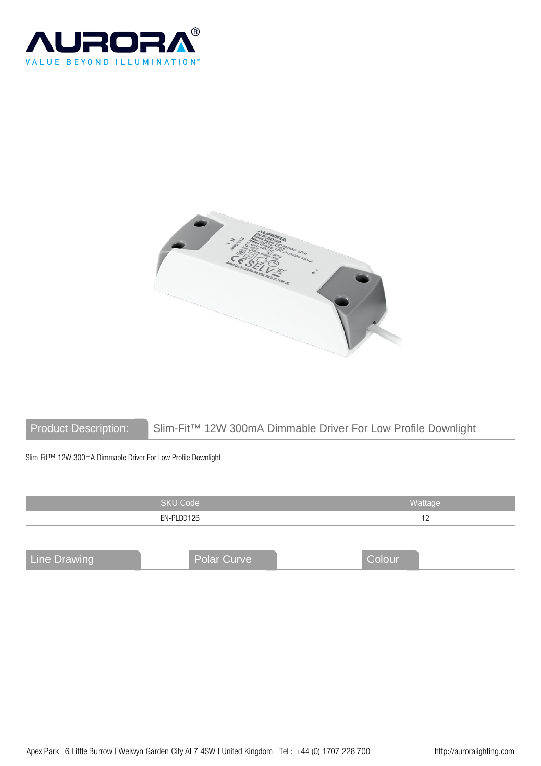



Product Description: Slim-Fit™ 12W 300mA Dimmable Driver For Low Profile Downlight

Slim-Fit™ 12W 300mA Dimmable Driver For Low Profile Downlight

|                     | <b>SKU Code</b>    | Wattage |
|---------------------|--------------------|---------|
|                     | EN-PLDD12B         | 12      |
|                     |                    |         |
| <b>Line Drawing</b> | <b>Polar Curve</b> | Colour  |